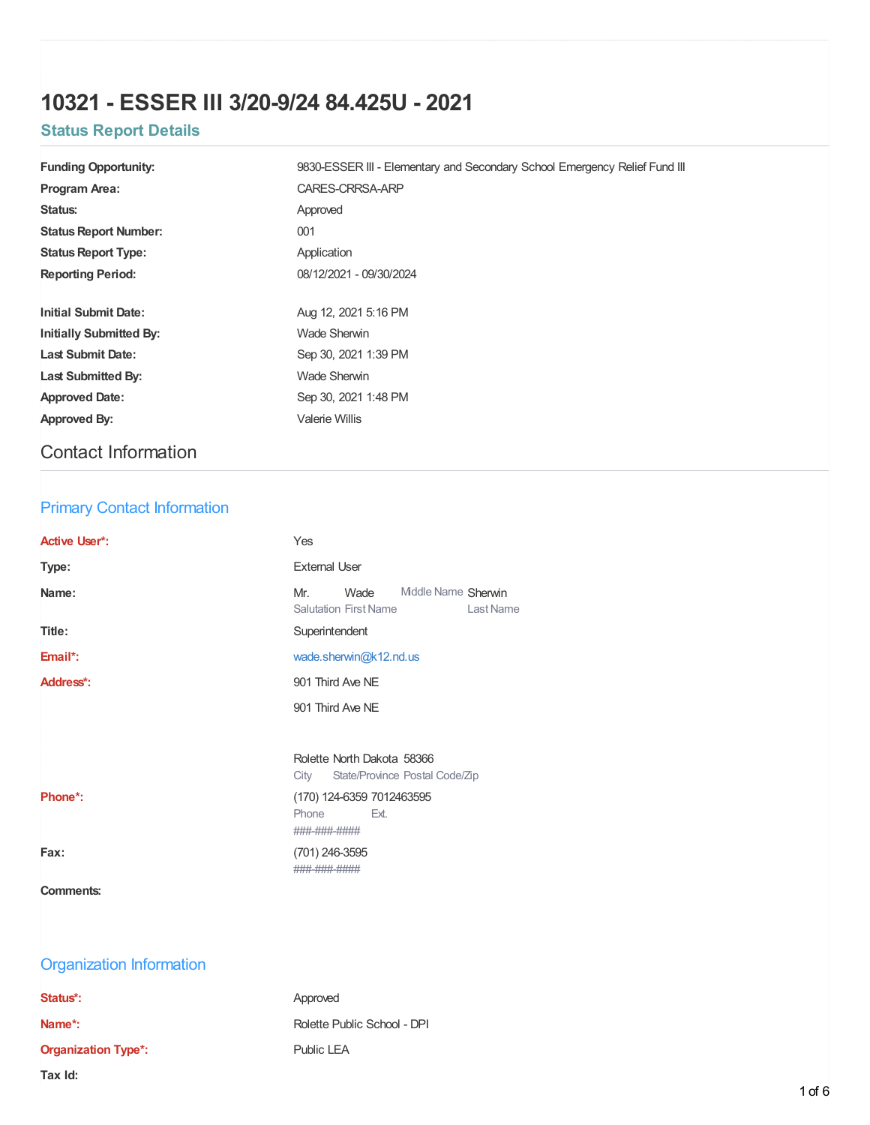# **10321 - ESSER III 3/20-9/24 84.425U - 2021**

# **Status Report Details**

| <b>Funding Opportunity:</b>    | 9830-ESSER III - Elementary and Secondary School Emergency Relief Fund III |
|--------------------------------|----------------------------------------------------------------------------|
| <b>Program Area:</b>           | CARES-CRRSA-ARP                                                            |
| Status:                        | Approved                                                                   |
| <b>Status Report Number:</b>   | 001                                                                        |
| <b>Status Report Type:</b>     | Application                                                                |
| <b>Reporting Period:</b>       | 08/12/2021 - 09/30/2024                                                    |
|                                |                                                                            |
| <b>Initial Submit Date:</b>    | Aug 12, 2021 5:16 PM                                                       |
| <b>Initially Submitted By:</b> | <b>Wade Sherwin</b>                                                        |
| <b>Last Submit Date:</b>       | Sep 30, 2021 1:39 PM                                                       |
| <b>Last Submitted By:</b>      | Wade Sherwin                                                               |
| <b>Approved Date:</b>          | Sep 30, 2021 1:48 PM                                                       |
| Approved By:                   | Valerie Willis                                                             |
|                                |                                                                            |

# Contact Information

# Primary Contact Information

| <b>Active User*:</b>            | Yes                                                                                    |
|---------------------------------|----------------------------------------------------------------------------------------|
| Type:                           | <b>External User</b>                                                                   |
| Name:                           | Middle Name Sherwin<br>Mr.<br>Wade<br><b>Salutation First Name</b><br><b>Last Name</b> |
| Title:                          | Superintendent                                                                         |
| Email*:                         | wade.sherwin@k12.nd.us                                                                 |
| Address*:                       | 901 Third Ave NE                                                                       |
|                                 | 901 Third Ave NE                                                                       |
|                                 |                                                                                        |
|                                 | Rolette North Dakota 58366<br>City<br>State/Province Postal Code/Zip                   |
| Phone*:                         | (170) 124-6359 7012463595<br>Phone<br>Ext.<br>###-###-####                             |
| Fax:                            | (701) 246-3595<br>###-###-####                                                         |
| <b>Comments:</b>                |                                                                                        |
|                                 |                                                                                        |
| <b>Organization Information</b> |                                                                                        |
| Status*:                        | Approved                                                                               |
| Name*:                          | Rolette Public School - DPI                                                            |
| <b>Organization Type*:</b>      | Public LEA                                                                             |
| Tax Id:                         |                                                                                        |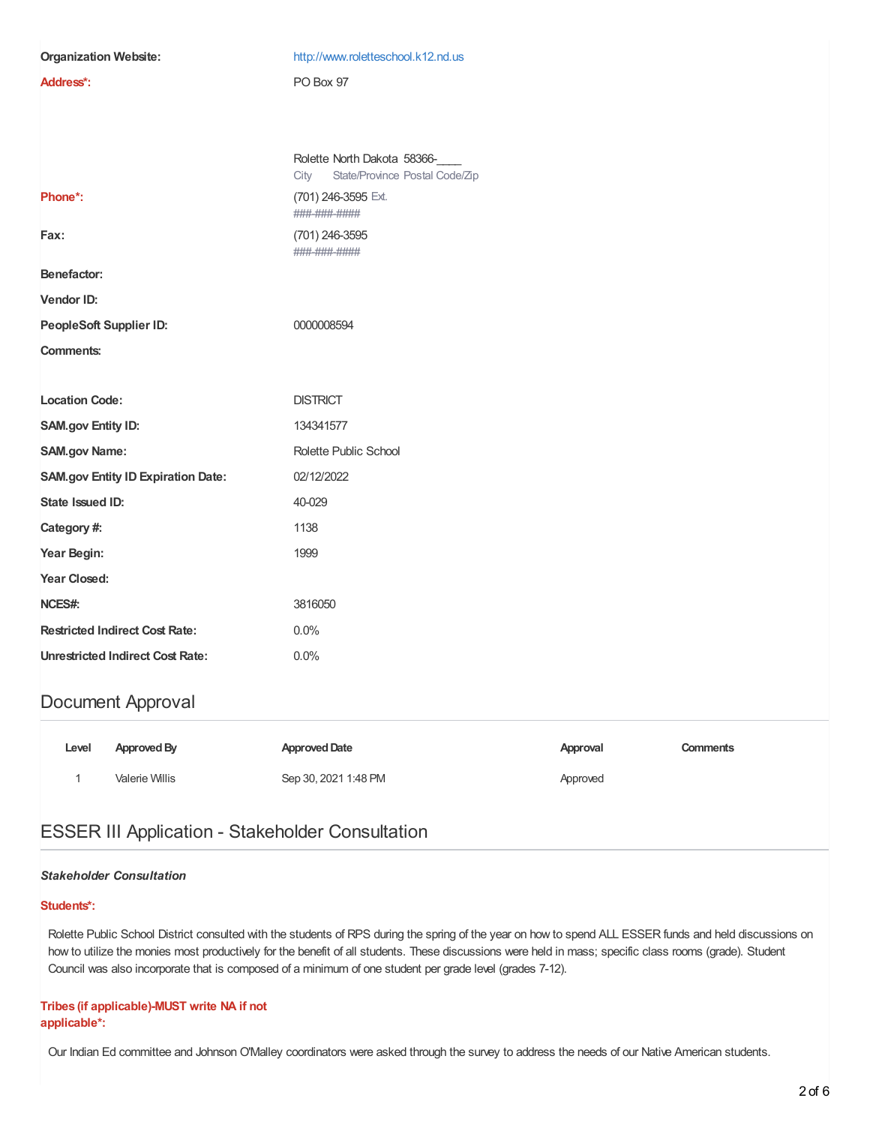| <b>Organization Website:</b>              | http://www.roletteschool.k12.nd.us                                    |  |
|-------------------------------------------|-----------------------------------------------------------------------|--|
| Address*:                                 | PO Box 97                                                             |  |
|                                           |                                                                       |  |
|                                           |                                                                       |  |
|                                           | Rolette North Dakota 58366-<br>State/Province Postal Code/Zip<br>City |  |
| Phone*:                                   | (701) 246-3595 Ext.<br>###-###-####                                   |  |
| Fax:                                      | (701) 246-3595<br>###-###-####                                        |  |
| Benefactor:                               |                                                                       |  |
| Vendor ID:                                |                                                                       |  |
| PeopleSoft Supplier ID:                   | 0000008594                                                            |  |
| <b>Comments:</b>                          |                                                                       |  |
|                                           |                                                                       |  |
| <b>Location Code:</b>                     | <b>DISTRICT</b>                                                       |  |
| <b>SAM.gov Entity ID:</b>                 |                                                                       |  |
|                                           | 134341577                                                             |  |
| <b>SAM.gov Name:</b>                      | Rolette Public School                                                 |  |
| <b>SAM.gov Entity ID Expiration Date:</b> | 02/12/2022                                                            |  |
| State Issued ID:                          | 40-029                                                                |  |
| Category #:                               | 1138                                                                  |  |
| Year Begin:                               | 1999                                                                  |  |
| Year Closed:                              |                                                                       |  |
| NCES#:                                    | 3816050                                                               |  |
| <b>Restricted Indirect Cost Rate:</b>     | 0.0%                                                                  |  |
| <b>Unrestricted Indirect Cost Rate:</b>   | 0.0%                                                                  |  |

## Document Approval

| Level | Approved By    | <b>Approved Date</b> | Approval | Comments |
|-------|----------------|----------------------|----------|----------|
|       | Valerie Willis | Sep 30, 2021 1:48 PM | Approved |          |

# ESSER III Application - Stakeholder Consultation

### *Stakeholder Consultation*

### **Students\*:**

Rolette Public School District consulted with the students of RPS during the spring of the year on how to spend ALL ESSER funds and held discussions on how to utilize the monies most productively for the benefit of all students. These discussions were held in mass; specific class rooms (grade). Student Council was also incorporate that is composed of a minimum of one student per grade level (grades 7-12).

### **Tribes (if applicable)-MUST write NA if not applicable\*:**

Our Indian Ed committee and Johnson O'Malley coordinators were asked through the survey to address the needs of our Native American students.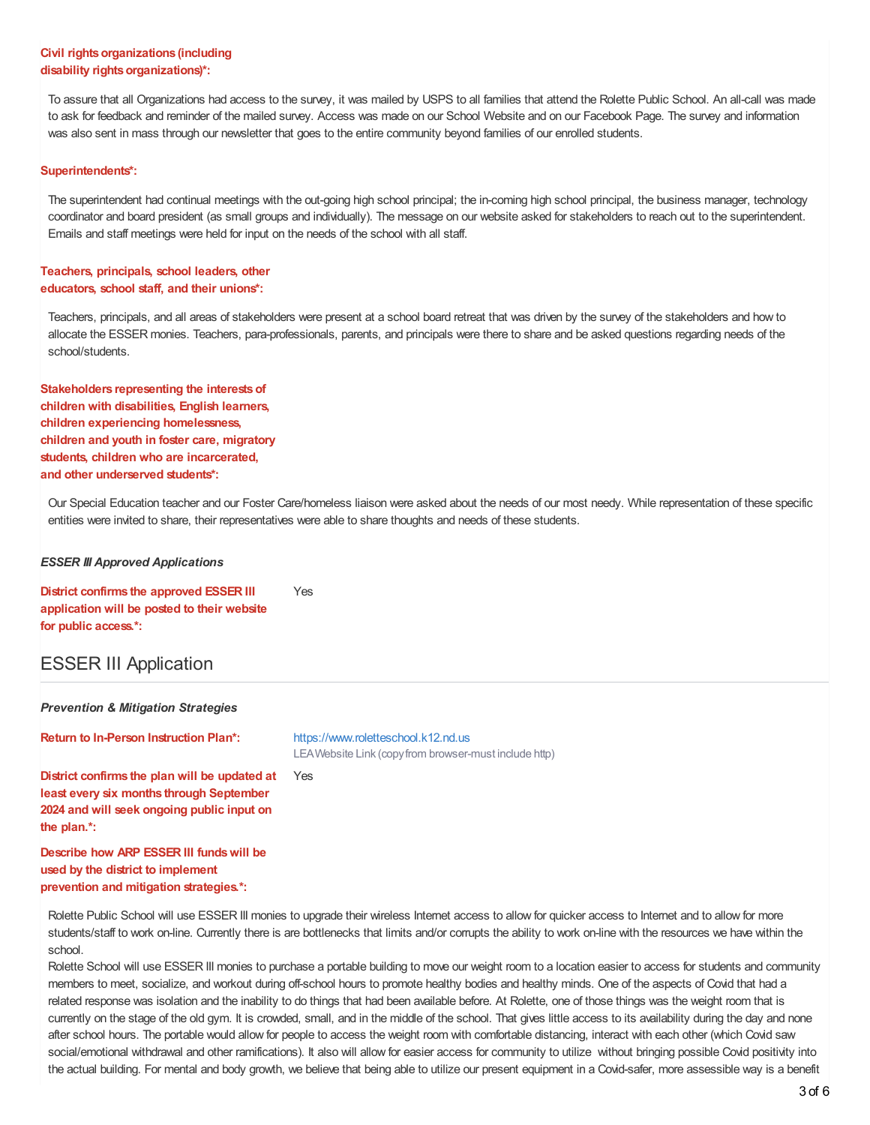### **Civil rights organizations (including**  $disability$  *rights organizations)\*:*

To assure that all Organizations had access to the survey, it was mailed by USPS to all families that attend the Rolette Public School. An all-call was made to ask for feedback and reminder of the mailed survey. Access was made on our School Website and on our Facebook Page. The survey and information was also sent in mass through our newsletter that goes to the entire community beyond families of our enrolled students.

#### **Superintendents\*:**

The superintendent had continual meetings with the out-going high school principal; the in-coming high school principal, the business manager, technology coordinator and board president (as small groups and individually). The message on our website asked for stakeholders to reach out to the superintendent. Emails and staff meetings were held for input on the needs of the school with all staff.

### **Teachers, principals, school leaders, other educators, school staff, and their unions\*:**

Teachers, principals, and all areas of stakeholders were present at a school board retreat that was driven by the survey of the stakeholders and how to allocate the ESSER monies. Teachers, para-professionals, parents, and principals were there to share and be asked questions regarding needs of the school/students.

**Stakeholders representing the interestsof children with disabilities, English learners, children experiencing homelessness, children and youth in foster care, migratory students, children who are incarcerated, and other underserved students\*:**

Our Special Education teacher and our Foster Care/homeless liaison were asked about the needs of our most needy. While representation of these specific entities were invited to share, their representatives were able to share thoughts and needs of these students.

#### *ESSER III Approved Applications*

**District confirms the approved ESSER III application will be posted to their website for public access.\*:** Yes

## ESSER III Application

| <b>Prevention &amp; Mitigation Strategies</b>                                                                                                          |                                                                                               |  |  |
|--------------------------------------------------------------------------------------------------------------------------------------------------------|-----------------------------------------------------------------------------------------------|--|--|
| <b>Return to In-Person Instruction Plan*:</b>                                                                                                          | https://www.roletteschool.k12.nd.us<br>LEA Website Link (copy from browser-must include http) |  |  |
| District confirms the plan will be updated at<br>least every six months through September<br>2024 and will seek ongoing public input on<br>the plan.*: | Yes                                                                                           |  |  |
| Describe how ARP ESSER III funds will be                                                                                                               |                                                                                               |  |  |

**used by the district to implement prevention and mitigation strategies.\*:**

Rolette Public School will use ESSER III monies to upgrade their wireless Internet access to allow for quicker access to Internet and to allow for more students/staff to work on-line. Currently there is are bottlenecks that limits and/or corrupts the ability to work on-line with the resources we have within the school.

Rolette School will use ESSER III monies to purchase a portable building to move our weight room to a location easier to access for students and community members to meet, socialize, and workout during off-school hours to promote healthy bodies and healthy minds. One of the aspects of Covid that had a related response was isolation and the inability to do things that had been available before. At Rolette, one of those things was the weight room that is currently on the stage of the old gym. It is crowded, small, and in the middle of the school. That gives little access to its availability during the day and none after school hours. The portable would allow for people to access the weight room with comfortable distancing, interact with each other (which Covid saw social/emotional withdrawal and other ramifications). It also will allow for easier access for community to utilize without bringing possible Covid positivity into the actual building. For mental and body growth, we believe that being able to utilize our present equipment in a Covid-safer, more assessible way is a benefit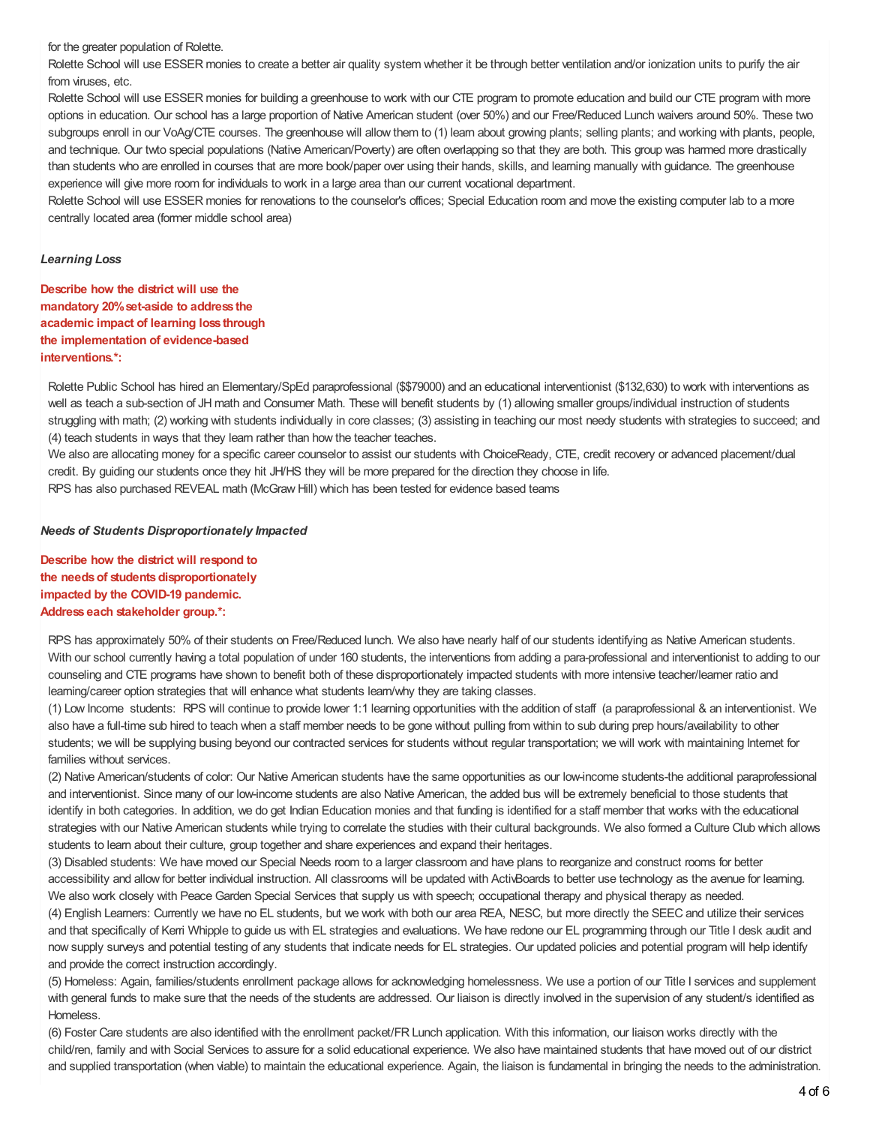for the greater population of Rolette.

Rolette School will use ESSER monies to create a better air quality system whether it be through better ventilation and/or ionization units to purify the air from viruses, etc.

Rolette School will use ESSER monies for building a greenhouse to work with our CTE program to promote education and build our CTE program with more options in education. Our school has a large proportion of Native American student (over 50%) and our Free/Reduced Lunch waivers around 50%. These two subgroups enroll in our VoAg/CTE courses. The greenhouse will allow them to (1) learn about growing plants; selling plants; and working with plants, people, and technique. Our twto special populations (Native American/Poverty) are often overlapping so that they are both. This group was harmed more drastically than students who are enrolled in courses that are more book/paper over using their hands, skills, and learning manually with guidance. The greenhouse experience will give more room for individuals to work in a large area than our current vocational department.

Rolette School will use ESSER monies for renovations to the counselor's offices; Special Education room and move the existing computer lab to a more centrally located area (former middle school area)

#### *Learning Loss*

**Describe how the district will use the mandatory 20%set-aside to address the academic impact of learning loss through the implementation of evidence-based interventions.\*:**

Rolette Public School has hired an Elementary/SpEd paraprofessional (\$\$79000) and an educational interventionist (\$132,630) to work with interventions as well as teach a sub-section of JH math and Consumer Math. These will benefit students by (1) allowing smaller groups/individual instruction of students struggling with math; (2) working with students individually in core classes; (3) assisting in teaching our most needy students with strategies to succeed; and (4) teach students in ways that they learn rather than how the teacher teaches.

We also are allocating money for a specific career counselor to assist our students with ChoiceReady, CTE, credit recovery or advanced placement/dual credit. By guiding our students once they hit JH/HS they will be more prepared for the direction they choose in life.

RPS has also purchased REVEAL math (McGraw Hill) which has been tested for evidence based teams

#### *Needs of Students Disproportionately Impacted*

**Describe how the district will respond to the needs of students disproportionately impacted by the COVID-19 pandemic. Address each stakeholder group.\*:**

RPS has approximately 50% of their students on Free/Reduced lunch. We also have nearly half of our students identifying as Native American students. With our school currently having a total population of under 160 students, the interventions from adding a para-professional and interventionist to adding to our counseling and CTE programs have shown to benefit both of these disproportionately impacted students with more intensive teacher/learner ratio and learning/career option strategies that will enhance what students learn/why they are taking classes.

(1) Low Income students: RPS will continue to provide lower 1:1 learning opportunities with the addition of staff (a paraprofessional & an interventionist. We also have a full-time sub hired to teach when a staff member needs to be gone without pulling from within to sub during prep hours/availability to other students; we will be supplying busing beyond our contracted services for students without regular transportation; we will work with maintaining Internet for families without services.

(2) Native American/students of color: Our Native American students have the same opportunities as our low-income students-the additional paraprofessional and interventionist. Since many of our low-income students are also Native American, the added bus will be extremely beneficial to those students that identify in both categories. In addition, we do get Indian Education monies and that funding is identified for a staff member that works with the educational strategies with our Native American students while trying to correlate the studies with their cultural backgrounds. We also formed a Culture Club which allows students to learn about their culture, group together and share experiences and expand their heritages.

(3) Disabled students: We have moved our Special Needs room to a larger classroom and have plans to reorganize and construct rooms for better accessibility and allow for better individual instruction. All classrooms will be updated with ActivBoards to better use technology as the avenue for learning. We also work closely with Peace Garden Special Services that supply us with speech; occupational therapy and physical therapy as needed.

(4) English Learners: Currently we have no EL students, but we work with both our area REA, NESC, but more directly the SEEC and utilize their services and that specifically of Kerri Whipple to guide us with EL strategies and evaluations. We have redone our EL programming through our Title I desk audit and now supply surveys and potential testing of any students that indicate needs for EL strategies. Our updated policies and potential program will help identify and provide the correct instruction accordingly.

(5) Homeless: Again, families/students enrollment package allows for acknowledging homelessness. We use a portion of our Title I services and supplement with general funds to make sure that the needs of the students are addressed. Our liaison is directly involved in the supervision of any student/s identified as Homeless.

(6) Foster Care students are also identified with the enrollment packet/FR Lunch application. With this information, our liaison works directly with the child/ren, family and with Social Services to assure for a solid educational experience. We also have maintained students that have moved out of our district and supplied transportation (when viable) to maintain the educational experience. Again, the liaison is fundamental in bringing the needs to the administration.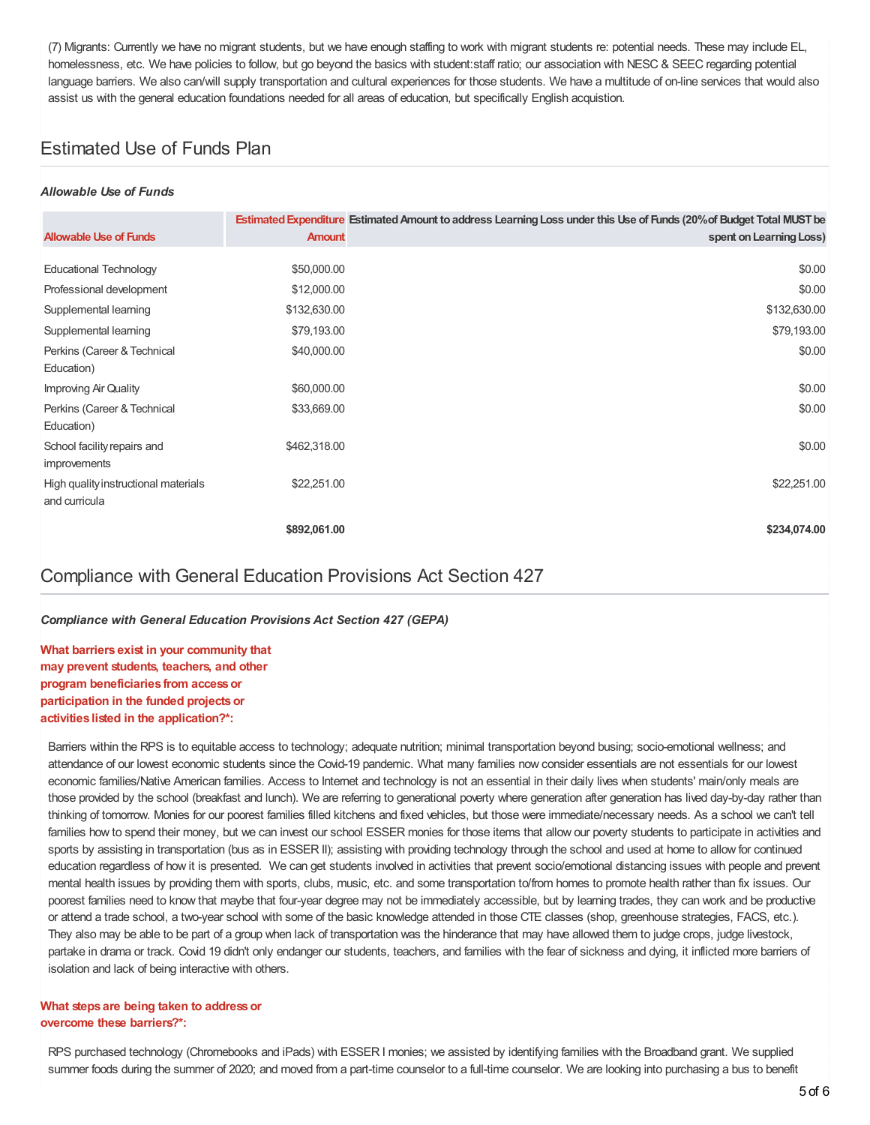(7) Migrants: Currently we have no migrant students, but we have enough staffing to work with migrant students re: potential needs. These may include EL, homelessness, etc. We have policies to follow, but go beyond the basics with student:staff ratio; our association with NESC & SEEC regarding potential language barriers. We also can/will supply transportation and cultural experiences for those students. We have a multitude of on-line services that would also assist us with the general education foundations needed for all areas of education, but specifically English acquistion.

# Estimated Use of Funds Plan

### *Allowable Use of Funds*

| <b>Allowable Use of Funds</b>               | <b>Amount</b> | Estimated Expenditure Estimated Amount to address Learning Loss under this Use of Funds (20% of Budget Total MUST be<br>spent on Learning Loss) |
|---------------------------------------------|---------------|-------------------------------------------------------------------------------------------------------------------------------------------------|
|                                             |               |                                                                                                                                                 |
| <b>Educational Technology</b>               | \$50,000.00   | \$0.00                                                                                                                                          |
| Professional development                    | \$12,000.00   | \$0.00                                                                                                                                          |
| Supplemental learning                       | \$132,630.00  | \$132,630.00                                                                                                                                    |
| Supplemental learning                       | \$79,193.00   | \$79,193.00                                                                                                                                     |
| Perkins (Career & Technical                 | \$40,000.00   | \$0.00                                                                                                                                          |
| Education)                                  |               |                                                                                                                                                 |
| Improving Air Quality                       | \$60,000.00   | \$0.00                                                                                                                                          |
| Perkins (Career & Technical                 | \$33,669.00   | \$0.00                                                                                                                                          |
| Education)                                  |               |                                                                                                                                                 |
| School facility repairs and<br>improvements | \$462,318.00  | \$0.00                                                                                                                                          |
| High quality instructional materials        | \$22,251.00   | \$22,251.00                                                                                                                                     |
| and curricula                               |               |                                                                                                                                                 |
|                                             | \$892,061.00  | \$234,074.00                                                                                                                                    |

## Compliance with General Education Provisions Act Section 427

*Compliance with General Education Provisions Act Section 427 (GEPA)*

**What barriers exist in your community that may prevent students, teachers, and other program beneficiaries from accessor participation in the funded projectsor activities listed in the application?\*:**

Barriers within the RPS is to equitable access to technology; adequate nutrition; minimal transportation beyond busing; socio-emotional wellness; and attendance of our lowest economic students since the Covid-19 pandemic. What many families now consider essentials are not essentials for our lowest economic families/Native American families. Access to Internet and technology is not an essential in their daily lives when students' main/only meals are those provided by the school (breakfast and lunch). We are referring to generational poverty where generation after generation has lived day-by-day rather than thinking of tomorrow. Monies for our poorest families filled kitchens and fixed vehicles, but those were immediate/necessary needs. As a school we can't tell families how to spend their money, but we can invest our school ESSER monies for those items that allow our poverty students to participate in activities and sports by assisting in transportation (bus as in ESSER II); assisting with providing technology through the school and used at home to allow for continued education regardless of how it is presented. We can get students involved in activities that prevent socio/emotional distancing issues with people and prevent mental health issues by providing them with sports, clubs, music, etc. and some transportation to/from homes to promote health rather than fix issues. Our poorest families need to know that maybe that four-year degree may not be immediately accessible, but by learning trades, they can work and be productive or attend a trade school, a two-year school with some of the basic knowledge attended in those CTE classes (shop, greenhouse strategies, FACS, etc.). They also may be able to be part of a group when lack of transportation was the hinderance that may have allowed them to judge crops, judge livestock, partake in drama or track. Covid 19 didn't only endanger our students, teachers, and families with the fear of sickness and dying, it inflicted more barriers of isolation and lack of being interactive with others.

#### **What steps are being taken to addressor overcome these barriers?\*:**

RPS purchased technology (Chromebooks and iPads) with ESSER I monies; we assisted by identifying families with the Broadband grant. We supplied summer foods during the summer of 2020; and moved from a part-time counselor to a full-time counselor. We are looking into purchasing a bus to benefit